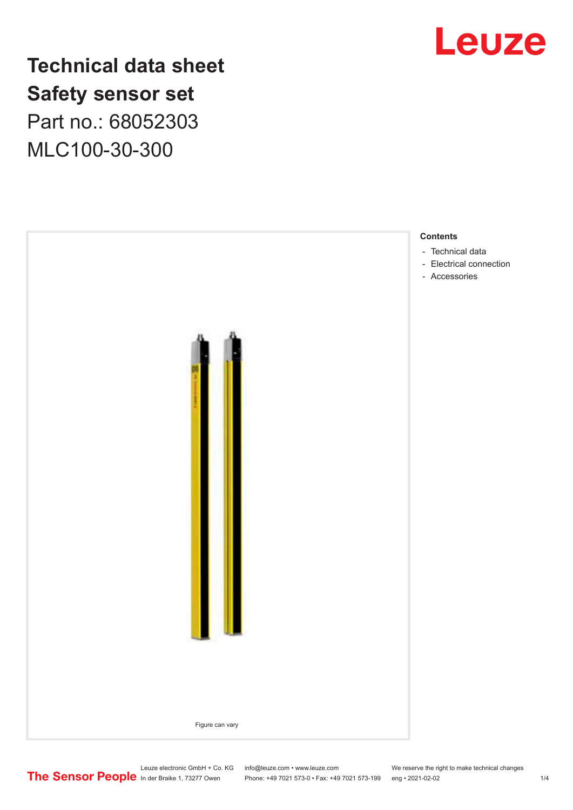

**Technical data sheet Safety sensor set** Part no.: 68052303 MLC100-30-300



Leuze electronic GmbH + Co. KG info@leuze.com • www.leuze.com We reserve the right to make technical changes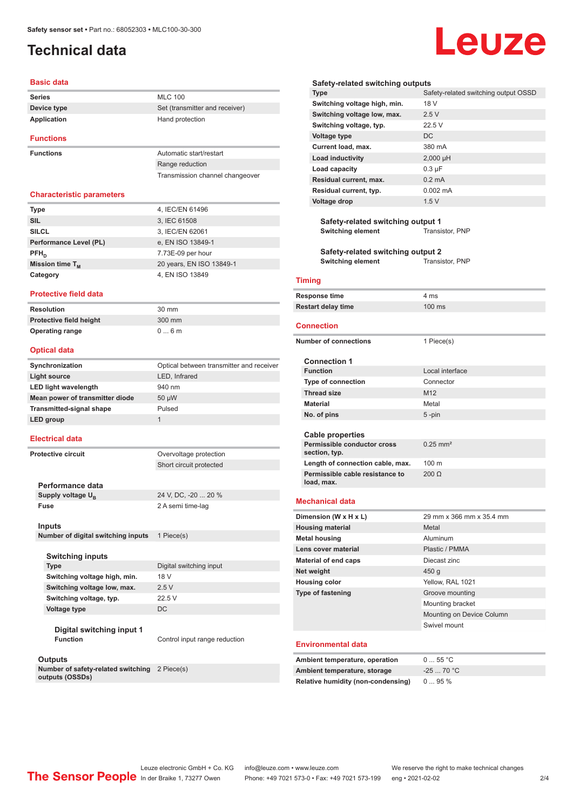# <span id="page-1-0"></span>**Technical data**

### **Basic data**

| <b>Series</b>    | <b>MLC 100</b>                 |
|------------------|--------------------------------|
| Device type      | Set (transmitter and receiver) |
| Application      | Hand protection                |
| <b>Functions</b> |                                |

**Functions Automatic start/restart** 

Range reduction Transmission channel changeover

### **Characteristic parameters**

| <b>Type</b>            | 4, IEC/EN 61496          |
|------------------------|--------------------------|
| <b>SIL</b>             | 3, IEC 61508             |
| <b>SILCL</b>           | 3, IEC/EN 62061          |
| Performance Level (PL) | e, EN ISO 13849-1        |
| $PFH_{n}$              | 7.73E-09 per hour        |
| Mission time $T_M$     | 20 years, EN ISO 13849-1 |
| Category               | 4, EN ISO 13849          |

### **Protective field data**

| Resolution              | $30 \text{ mm}$ |
|-------------------------|-----------------|
| Protective field height | 300 mm          |
| <b>Operating range</b>  | $0 \dots 6$ m   |

### **Optical data**

| Synchronization                 | Optical between transmitter and receiver |
|---------------------------------|------------------------------------------|
| Light source                    | LED, Infrared                            |
| <b>LED light wavelength</b>     | 940 nm                                   |
| Mean power of transmitter diode | 50 µW                                    |
| <b>Transmitted-signal shape</b> | Pulsed                                   |
| LED group                       | 1                                        |
|                                 |                                          |

### **Electrical data**

**Protective circuit COVER COVER COVER COVER COVER** 

**Performance data** Supply voltage  $U_B$ 

24 V, DC, -20 ... 20 %

Short circuit protected

**Fuse** 2 A semi time-lag

### **Inputs**

**Number of digital switching inputs** 1 Piece(s)

### **Switching inputs**

**Switching voltage high, min.** 18 V **Switching voltage low, max.** 2.5 V **Switching voltage, typ.** 22.5 V **Voltage type** DC

# **Type** Digital switching input

**Digital switching input 1 Function Control input range reduction** 

### **Outputs**

**Number of safety-related switching**  2 Piece(s) **outputs (OSSDs)**

### **Safety-related switching outputs**

| <b>Type</b>                  | Safety-related switching output OSSD |
|------------------------------|--------------------------------------|
| Switching voltage high, min. | 18 V                                 |
| Switching voltage low, max.  | 2.5V                                 |
| Switching voltage, typ.      | 22.5V                                |
| Voltage type                 | DC.                                  |
| Current load, max.           | 380 mA                               |
| Load inductivity             | $2,000 \mu H$                        |
| Load capacity                | $0.3 \mu F$                          |
| Residual current, max.       | $0.2 \text{ mA}$                     |
| Residual current, typ.       | $0.002 \, \text{mA}$                 |
| Voltage drop                 | 1.5V                                 |
|                              |                                      |

**Safety-related switching output 1**<br>Switching element Transistor, PNP **Switching element** 

**Safety-related switching output 2 Switching element** Transistor, PNP

### **Timing**

| Response time             | 4 ms             |
|---------------------------|------------------|
| <b>Restart delay time</b> | $100 \text{ ms}$ |

### **Connection**

| <b>Number of connections</b>                  | 1 Piece(s)               |
|-----------------------------------------------|--------------------------|
| <b>Connection 1</b>                           |                          |
| <b>Function</b>                               | Local interface          |
| <b>Type of connection</b>                     | Connector                |
| <b>Thread size</b>                            | M12                      |
| <b>Material</b>                               | Metal                    |
| No. of pins                                   | $5 - pin$                |
|                                               |                          |
| Cable properties                              |                          |
| Permissible conductor cross<br>section, typ.  | $0.25$ mm <sup>2</sup>   |
| Length of connection cable, max.              | $100 \text{ m}$          |
| Permissible cable resistance to<br>load, max. | $200 \Omega$             |
| <b>Mechanical data</b>                        |                          |
| Dimension (W x H x L)                         | 29 mm x 366 mm x 35.4 mm |
| <b>Housing material</b>                       | Metal                    |
| <b>Metal housing</b>                          | Aluminum                 |
| Lens cover material                           | Plastic / PMMA           |
| <b>Material of end caps</b>                   | Diecast zinc             |
| Net weight                                    | 450 g                    |
| <b>Housing color</b>                          | Yellow, RAL 1021         |
| <b>Type of fastening</b>                      | Groove mounting          |

### **Environmental data**

| Ambient temperature, operation     | $055$ °C   |
|------------------------------------|------------|
|                                    |            |
| Ambient temperature, storage       | $-2570 °C$ |
| Relative humidity (non-condensing) | 095%       |

Leuze electronic GmbH + Co. KG info@leuze.com • www.leuze.com We reserve the right to make technical changes<br> **The Sensor People** in der Braike 1, 73277 Owen Phone: +49 7021 573-0 • Fax: +49 7021 573-199 eng • 2021-02-02

Phone: +49 7021 573-0 • Fax: +49 7021 573-199 eng • 2021-02-02 2/4

Mounting bracket

Swivel mount

Mounting on Device Column

# Leuze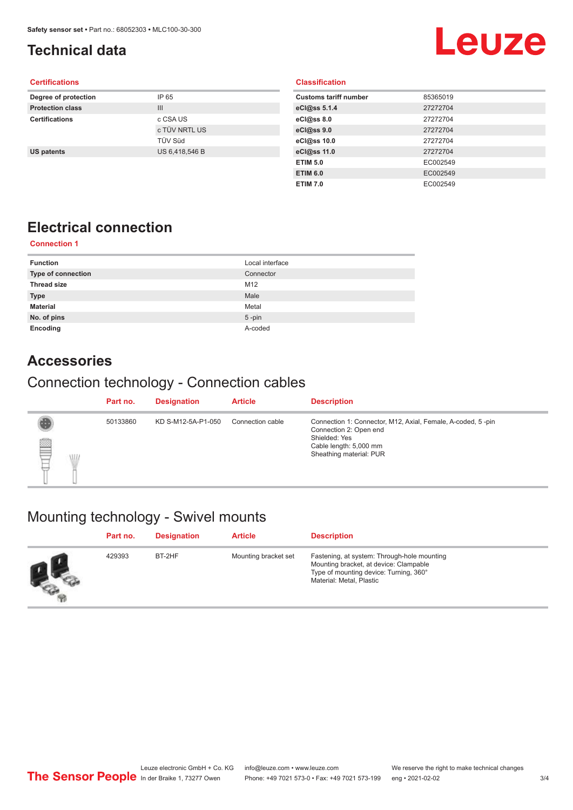# <span id="page-2-0"></span>**Technical data**

# **Leuze**

### **Certifications**

| Degree of protection    | IP 65          |
|-------------------------|----------------|
| <b>Protection class</b> | $\mathbf{III}$ |
| <b>Certifications</b>   | c CSA US       |
|                         | c TÜV NRTL US  |
|                         | <b>TÜV Süd</b> |
| <b>US patents</b>       | US 6,418,546 B |
|                         |                |

### **Classification**

| 85365019 |
|----------|
| 27272704 |
| 27272704 |
| 27272704 |
| 27272704 |
| 27272704 |
| EC002549 |
| EC002549 |
| EC002549 |
|          |

# **Electrical connection**

### **Connection 1**

| <b>Function</b>    | Local interface |
|--------------------|-----------------|
| Type of connection | Connector       |
| <b>Thread size</b> | M12             |
| <b>Type</b>        | Male            |
| <b>Material</b>    | Metal           |
| No. of pins        | $5$ -pin        |
| Encoding           | A-coded         |

### **Accessories**

## Connection technology - Connection cables

|                 | Part no. | <b>Designation</b> | <b>Article</b>   | <b>Description</b>                                                                                                                                          |
|-----------------|----------|--------------------|------------------|-------------------------------------------------------------------------------------------------------------------------------------------------------------|
| ▤<br><b>ALL</b> | 50133860 | KD S-M12-5A-P1-050 | Connection cable | Connection 1: Connector, M12, Axial, Female, A-coded, 5-pin<br>Connection 2: Open end<br>Shielded: Yes<br>Cable length: 5,000 mm<br>Sheathing material: PUR |

# Mounting technology - Swivel mounts

|                | Part no. | <b>Designation</b> | <b>Article</b>       | <b>Description</b>                                                                                                                                          |
|----------------|----------|--------------------|----------------------|-------------------------------------------------------------------------------------------------------------------------------------------------------------|
| <b>Company</b> | 429393   | BT-2HF             | Mounting bracket set | Fastening, at system: Through-hole mounting<br>Mounting bracket, at device: Clampable<br>Type of mounting device: Turning, 360°<br>Material: Metal, Plastic |